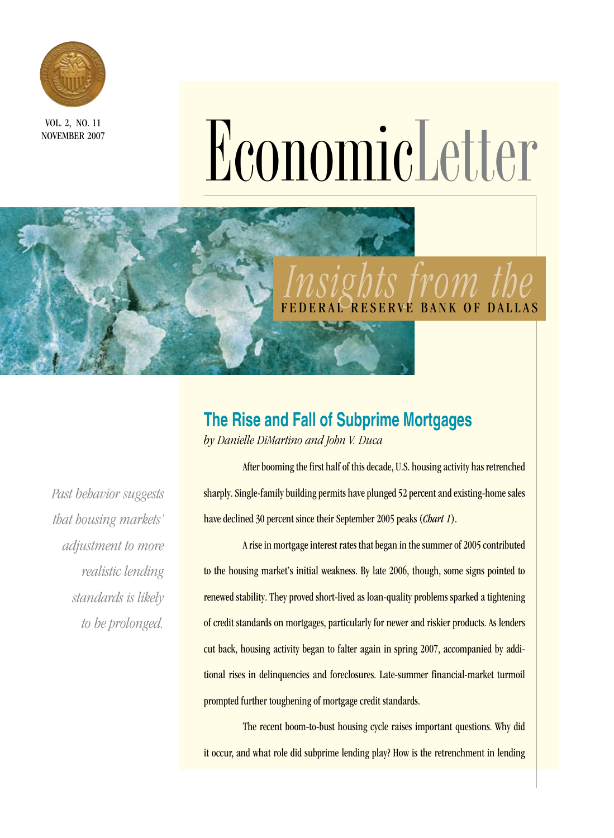

NOVEMBER 2007-

# VOL. 2, NO. 11<br> **ECONOMICLE 2007**

# *Insights from the*  BANK OF DALLAS

## **The Rise and Fall of Subprime Mortgages**

*by Danielle DiMartino and John V. Duca*

*Past behavior suggests that housing markets' adjustment to more realistic lending standards is likely to be prolonged.* 

After booming the first half of this decade, U.S. housing activity has retrenched sharply. Single-family building permits have plunged 52 percent and existing-home sales have declined 30 percent since their September 2005 peaks (*Chart 1*).

A rise in mortgage interest rates that began in the summer of 2005 contributed to the housing market's initial weakness. By late 2006, though, some signs pointed to renewed stability. They proved short-lived as loan-quality problems sparked a tightening of credit standards on mortgages, particularly for newer and riskier products. As lenders cut back, housing activity began to falter again in spring 2007, accompanied by additional rises in delinquencies and foreclosures. Late-summer financial-market turmoil prompted further toughening of mortgage credit standards.

The recent boom-to-bust housing cycle raises important questions. Why did it occur, and what role did subprime lending play? How is the retrenchment in lending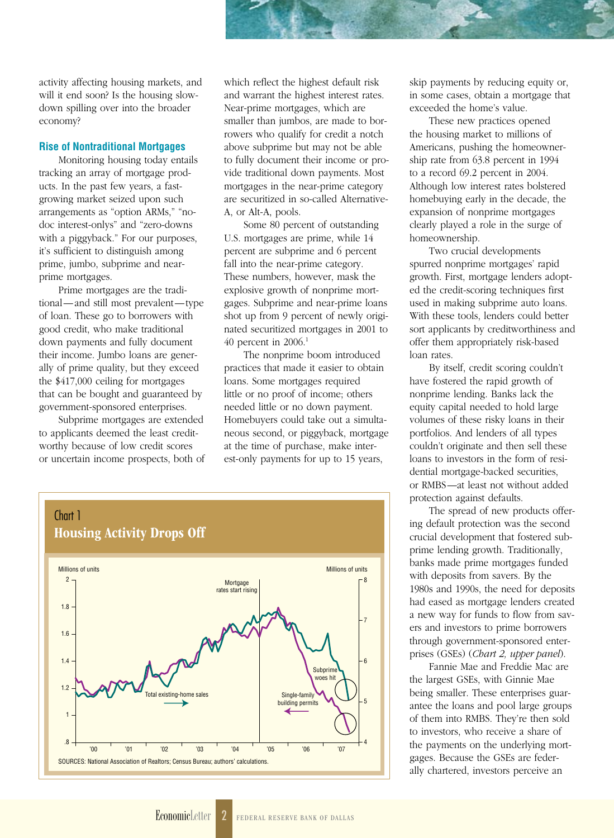activity affecting housing markets, and will it end soon? Is the housing slowdown spilling over into the broader economy?

#### **Rise of Nontraditional Mortgages**

Monitoring housing today entails tracking an array of mortgage products. In the past few years, a fastgrowing market seized upon such arrangements as "option ARMs," "nodoc interest-onlys" and "zero-downs with a piggyback." For our purposes, it's sufficient to distinguish among prime, jumbo, subprime and nearprime mortgages.

Prime mortgages are the traditional—and still most prevalent—type of loan. These go to borrowers with good credit, who make traditional down payments and fully document their income. Jumbo loans are generally of prime quality, but they exceed the \$417,000 ceiling for mortgages that can be bought and guaranteed by government-sponsored enterprises.

Subprime mortgages are extended to applicants deemed the least creditworthy because of low credit scores or uncertain income prospects, both of which reflect the highest default risk and warrant the highest interest rates. Near-prime mortgages, which are smaller than jumbos, are made to borrowers who qualify for credit a notch above subprime but may not be able to fully document their income or provide traditional down payments. Most mortgages in the near-prime category are securitized in so-called Alternative-A, or Alt-A, pools.

Some 80 percent of outstanding U.S. mortgages are prime, while 14 percent are subprime and 6 percent fall into the near-prime category. These numbers, however, mask the explosive growth of nonprime mortgages. Subprime and near-prime loans shot up from 9 percent of newly originated securitized mortgages in 2001 to 40 percent in 2006.1

The nonprime boom introduced practices that made it easier to obtain loans. Some mortgages required little or no proof of income; others needed little or no down payment. Homebuyers could take out a simultaneous second, or piggyback, mortgage at the time of purchase, make interest-only payments for up to 15 years,



skip payments by reducing equity or, in some cases, obtain a mortgage that exceeded the home's value.

These new practices opened the housing market to millions of Americans, pushing the homeownership rate from 63.8 percent in 1994 to a record 69.2 percent in 2004. Although low interest rates bolstered homebuying early in the decade, the expansion of nonprime mortgages clearly played a role in the surge of homeownership.

Two crucial developments spurred nonprime mortgages' rapid growth. First, mortgage lenders adopted the credit-scoring techniques first used in making subprime auto loans. With these tools, lenders could better sort applicants by creditworthiness and offer them appropriately risk-based loan rates.

By itself, credit scoring couldn't have fostered the rapid growth of nonprime lending. Banks lack the equity capital needed to hold large volumes of these risky loans in their portfolios. And lenders of all types couldn't originate and then sell these loans to investors in the form of residential mortgage-backed securities, or RMBS—at least not without added protection against defaults.

The spread of new products offering default protection was the second crucial development that fostered subprime lending growth. Traditionally, banks made prime mortgages funded with deposits from savers. By the 1980s and 1990s, the need for deposits had eased as mortgage lenders created a new way for funds to flow from savers and investors to prime borrowers through government-sponsored enterprises (GSEs) (*Chart 2, upper panel*).

Fannie Mae and Freddie Mac are the largest GSEs, with Ginnie Mae being smaller. These enterprises guarantee the loans and pool large groups of them into RMBS. They're then sold to investors, who receive a share of the payments on the underlying mortgages. Because the GSEs are federally chartered, investors perceive an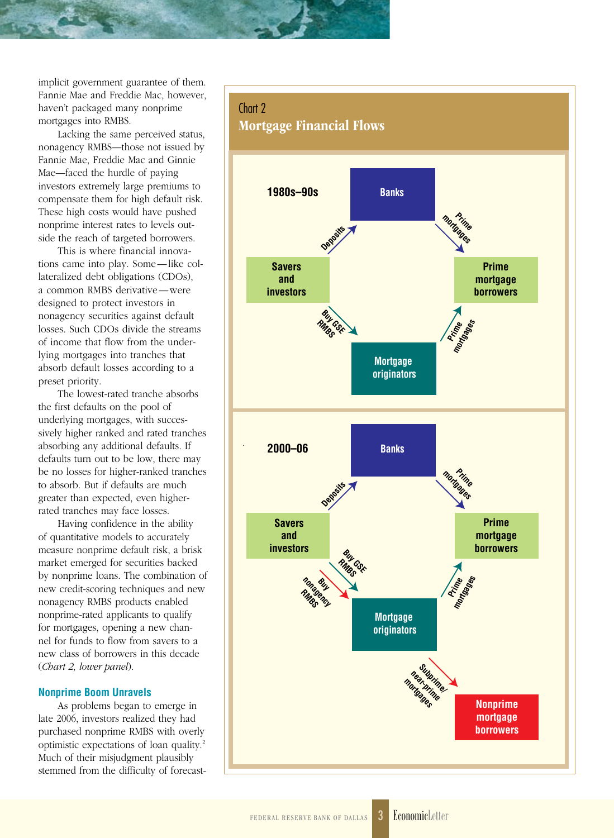implicit government guarantee of them. Fannie Mae and Freddie Mac, however, haven't packaged many nonprime mortgages into RMBS.

Lacking the same perceived status, nonagency RMBS—those not issued by Fannie Mae, Freddie Mac and Ginnie Mae—faced the hurdle of paying investors extremely large premiums to compensate them for high default risk. These high costs would have pushed nonprime interest rates to levels outside the reach of targeted borrowers.

This is where financial innovations came into play. Some—like collateralized debt obligations (CDOs), a common RMBS derivative—were designed to protect investors in nonagency securities against default losses. Such CDOs divide the streams of income that flow from the underlying mortgages into tranches that absorb default losses according to a preset priority.

The lowest-rated tranche absorbs the first defaults on the pool of underlying mortgages, with successively higher ranked and rated tranches absorbing any additional defaults. If defaults turn out to be low, there may be no losses for higher-ranked tranches to absorb. But if defaults are much greater than expected, even higherrated tranches may face losses.

Having confidence in the ability of quantitative models to accurately measure nonprime default risk, a brisk market emerged for securities backed by nonprime loans. The combination of new credit-scoring techniques and new nonagency RMBS products enabled nonprime-rated applicants to qualify for mortgages, opening a new channel for funds to flow from savers to a new class of borrowers in this decade (*Chart 2, lower panel*).

### **Nonprime Boom Unravels**

As problems began to emerge in late 2006, investors realized they had purchased nonprime RMBS with overly optimistic expectations of loan quality.2 Much of their misjudgment plausibly stemmed from the difficulty of forecast-

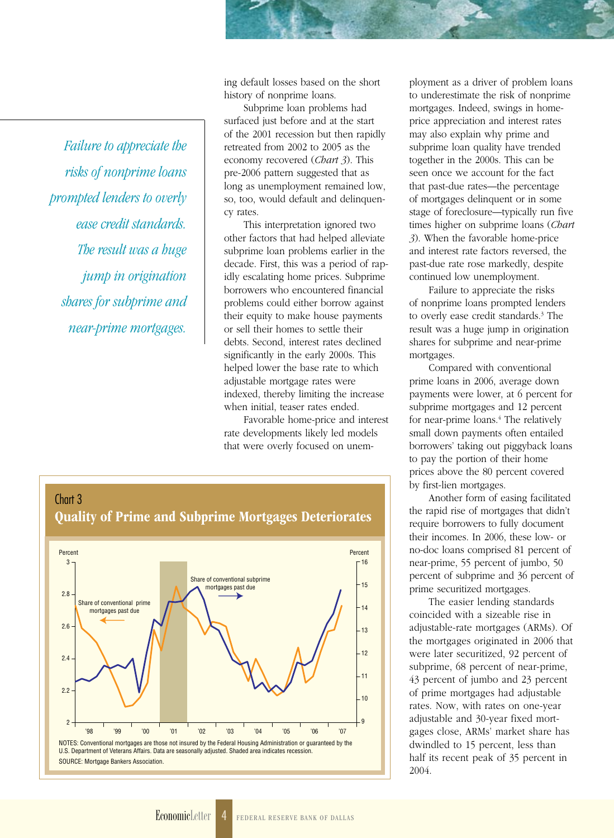*Failure to appreciate the risks of nonprime loans prompted lenders to overly ease credit standards. The result was a huge jump in origination shares for subprime and near-prime mortgages.*

ing default losses based on the short history of nonprime loans.

Subprime loan problems had surfaced just before and at the start of the 2001 recession but then rapidly retreated from 2002 to 2005 as the economy recovered (*Chart 3*). This pre-2006 pattern suggested that as long as unemployment remained low, so, too, would default and delinquency rates.

This interpretation ignored two other factors that had helped alleviate subprime loan problems earlier in the decade. First, this was a period of rapidly escalating home prices. Subprime borrowers who encountered financial problems could either borrow against their equity to make house payments or sell their homes to settle their debts. Second, interest rates declined significantly in the early 2000s. This helped lower the base rate to which adjustable mortgage rates were indexed, thereby limiting the increase when initial, teaser rates ended.

Favorable home-price and interest rate developments likely led models that were overly focused on unem-



ployment as a driver of problem loans to underestimate the risk of nonprime mortgages. Indeed, swings in homeprice appreciation and interest rates may also explain why prime and subprime loan quality have trended together in the 2000s. This can be seen once we account for the fact that past-due rates—the percentage of mortgages delinquent or in some stage of foreclosure—typically run five times higher on subprime loans (*Chart 3*). When the favorable home-price and interest rate factors reversed, the past-due rate rose markedly, despite continued low unemployment.

Failure to appreciate the risks of nonprime loans prompted lenders to overly ease credit standards.<sup>3</sup> The result was a huge jump in origination shares for subprime and near-prime mortgages.

Compared with conventional prime loans in 2006, average down payments were lower, at 6 percent for subprime mortgages and 12 percent for near-prime loans.<sup>4</sup> The relatively small down payments often entailed borrowers' taking out piggyback loans to pay the portion of their home prices above the 80 percent covered by first-lien mortgages.

Another form of easing facilitated the rapid rise of mortgages that didn't require borrowers to fully document their incomes. In 2006, these low- or no-doc loans comprised 81 percent of near-prime, 55 percent of jumbo, 50 percent of subprime and 36 percent of prime securitized mortgages.

The easier lending standards coincided with a sizeable rise in adjustable-rate mortgages (ARMs). Of the mortgages originated in 2006 that were later securitized, 92 percent of subprime, 68 percent of near-prime, 43 percent of jumbo and 23 percent of prime mortgages had adjustable rates. Now, with rates on one-year adjustable and 30-year fixed mortgages close, ARMs' market share has dwindled to 15 percent, less than half its recent peak of 35 percent in 2004.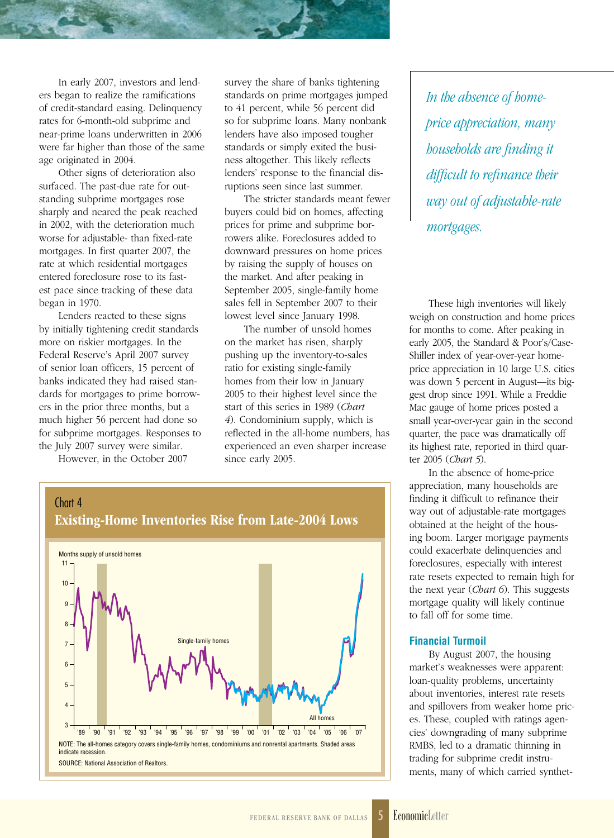In early 2007, investors and lenders began to realize the ramifications of credit-standard easing. Delinquency rates for 6-month-old subprime and near-prime loans underwritten in 2006 were far higher than those of the same age originated in 2004.

Other signs of deterioration also surfaced. The past-due rate for outstanding subprime mortgages rose sharply and neared the peak reached in 2002, with the deterioration much worse for adjustable- than fixed-rate mortgages. In first quarter 2007, the rate at which residential mortgages entered foreclosure rose to its fastest pace since tracking of these data began in 1970.

Lenders reacted to these signs by initially tightening credit standards more on riskier mortgages. In the Federal Reserve's April 2007 survey of senior loan officers, 15 percent of banks indicated they had raised standards for mortgages to prime borrowers in the prior three months, but a much higher 56 percent had done so for subprime mortgages. Responses to the July 2007 survey were similar.

However, in the October 2007

survey the share of banks tightening standards on prime mortgages jumped to 41 percent, while 56 percent did so for subprime loans. Many nonbank lenders have also imposed tougher standards or simply exited the business altogether. This likely reflects lenders' response to the financial disruptions seen since last summer.

The stricter standards meant fewer buyers could bid on homes, affecting prices for prime and subprime borrowers alike. Foreclosures added to downward pressures on home prices by raising the supply of houses on the market. And after peaking in September 2005, single-family home sales fell in September 2007 to their lowest level since January 1998.

The number of unsold homes on the market has risen, sharply pushing up the inventory-to-sales ratio for existing single-family homes from their low in January 2005 to their highest level since the start of this series in 1989 (*Chart 4*). Condominium supply, which is reflected in the all-home numbers, has experienced an even sharper increase since early 2005.



*In the absence of homeprice appreciation, many households are finding it difficult to refinance their way out of adjustable-rate mortgages.*

These high inventories will likely weigh on construction and home prices for months to come. After peaking in early 2005, the Standard & Poor's/Case-Shiller index of year-over-year homeprice appreciation in 10 large U.S. cities was down 5 percent in August—its biggest drop since 1991. While a Freddie Mac gauge of home prices posted a small year-over-year gain in the second quarter, the pace was dramatically off its highest rate, reported in third quarter 2005 (*Chart 5*).

In the absence of home-price appreciation, many households are finding it difficult to refinance their way out of adjustable-rate mortgages obtained at the height of the housing boom. Larger mortgage payments could exacerbate delinquencies and foreclosures, especially with interest rate resets expected to remain high for the next year (*Chart 6*). This suggests mortgage quality will likely continue to fall off for some time.

## **Financial Turmoil**

By August 2007, the housing market's weaknesses were apparent: loan-quality problems, uncertainty about inventories, interest rate resets and spillovers from weaker home prices. These, coupled with ratings agencies' downgrading of many subprime RMBS, led to a dramatic thinning in trading for subprime credit instruments, many of which carried synthet-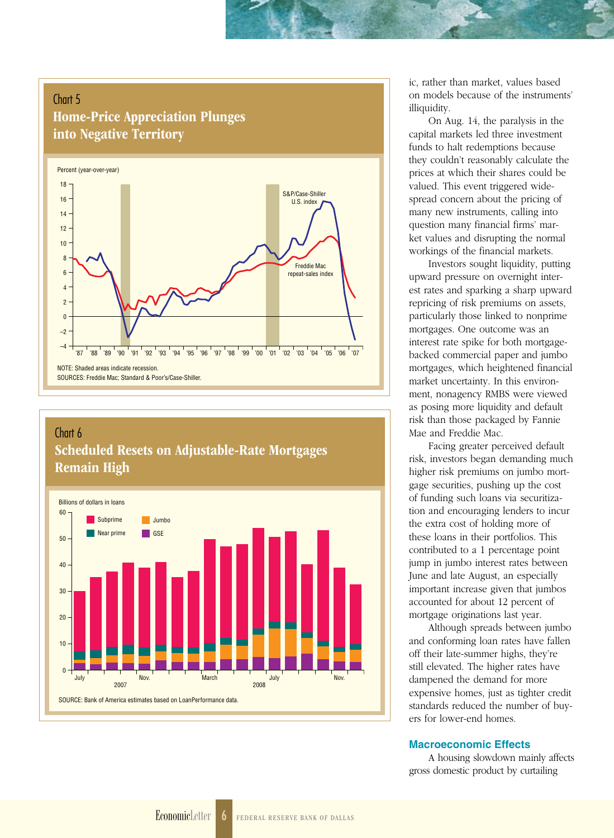## Chart 5

## Home-Price Appreciation Plunges into Negative Territory



## Chart 6 Scheduled Resets on Adjustable-Rate Mortgages Remain High



ic, rather than market, values based on models because of the instruments' illiquidity.

On Aug. 14, the paralysis in the capital markets led three investment funds to halt redemptions because they couldn't reasonably calculate the prices at which their shares could be valued. This event triggered widespread concern about the pricing of many new instruments, calling into question many financial firms' market values and disrupting the normal workings of the financial markets.

Investors sought liquidity, putting upward pressure on overnight interest rates and sparking a sharp upward repricing of risk premiums on assets, particularly those linked to nonprime mortgages. One outcome was an interest rate spike for both mortgagebacked commercial paper and jumbo mortgages, which heightened financial market uncertainty. In this environment, nonagency RMBS were viewed as posing more liquidity and default risk than those packaged by Fannie Mae and Freddie Mac.

Facing greater perceived default risk, investors began demanding much higher risk premiums on jumbo mortgage securities, pushing up the cost of funding such loans via securitization and encouraging lenders to incur the extra cost of holding more of these loans in their portfolios. This contributed to a 1 percentage point jump in jumbo interest rates between June and late August, an especially important increase given that jumbos accounted for about 12 percent of mortgage originations last year.

Although spreads between jumbo and conforming loan rates have fallen off their late-summer highs, they're still elevated. The higher rates have dampened the demand for more expensive homes, just as tighter credit standards reduced the number of buyers for lower-end homes.

## **Macroeconomic Effects**

A housing slowdown mainly affects gross domestic product by curtailing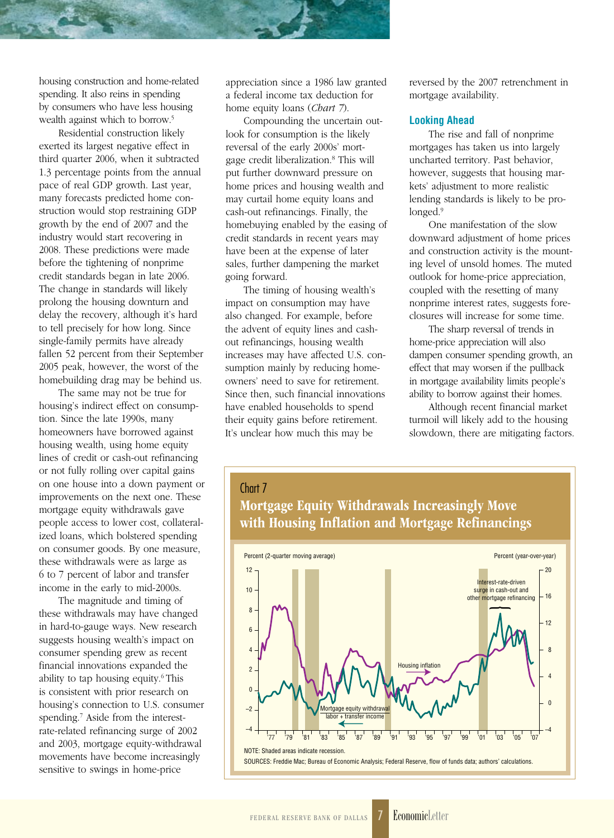housing construction and home-related spending. It also reins in spending by consumers who have less housing wealth against which to borrow.<sup>5</sup>

Residential construction likely exerted its largest negative effect in third quarter 2006, when it subtracted 1.3 percentage points from the annual pace of real GDP growth. Last year, many forecasts predicted home construction would stop restraining GDP growth by the end of 2007 and the industry would start recovering in 2008. These predictions were made before the tightening of nonprime credit standards began in late 2006. The change in standards will likely prolong the housing downturn and delay the recovery, although it's hard to tell precisely for how long. Since single-family permits have already fallen 52 percent from their September 2005 peak, however, the worst of the homebuilding drag may be behind us.

The same may not be true for housing's indirect effect on consumption. Since the late 1990s, many homeowners have borrowed against housing wealth, using home equity lines of credit or cash-out refinancing or not fully rolling over capital gains on one house into a down payment or improvements on the next one. These mortgage equity withdrawals gave people access to lower cost, collateralized loans, which bolstered spending on consumer goods. By one measure, these withdrawals were as large as 6 to 7 percent of labor and transfer income in the early to mid-2000s.

The magnitude and timing of these withdrawals may have changed in hard-to-gauge ways. New research suggests housing wealth's impact on consumer spending grew as recent financial innovations expanded the ability to tap housing equity.<sup>6</sup> This is consistent with prior research on housing's connection to U.S. consumer spending.7 Aside from the interestrate-related refinancing surge of 2002 and 2003, mortgage equity-withdrawal movements have become increasingly sensitive to swings in home-price

appreciation since a 1986 law granted a federal income tax deduction for home equity loans (*Chart 7*).

Compounding the uncertain outlook for consumption is the likely reversal of the early 2000s' mortgage credit liberalization.8 This will put further downward pressure on home prices and housing wealth and may curtail home equity loans and cash-out refinancings. Finally, the homebuying enabled by the easing of credit standards in recent years may have been at the expense of later sales, further dampening the market going forward.

The timing of housing wealth's impact on consumption may have also changed. For example, before the advent of equity lines and cashout refinancings, housing wealth increases may have affected U.S. consumption mainly by reducing homeowners' need to save for retirement. Since then, such financial innovations have enabled households to spend their equity gains before retirement. It's unclear how much this may be

reversed by the 2007 retrenchment in mortgage availability.

### **Looking Ahead**

The rise and fall of nonprime mortgages has taken us into largely uncharted territory. Past behavior, however, suggests that housing markets' adjustment to more realistic lending standards is likely to be prolonged.<sup>9</sup>

One manifestation of the slow downward adjustment of home prices and construction activity is the mounting level of unsold homes. The muted outlook for home-price appreciation, coupled with the resetting of many nonprime interest rates, suggests foreclosures will increase for some time.

The sharp reversal of trends in home-price appreciation will also dampen consumer spending growth, an effect that may worsen if the pullback in mortgage availability limits people's ability to borrow against their homes.

Although recent financial market turmoil will likely add to the housing slowdown, there are mitigating factors.